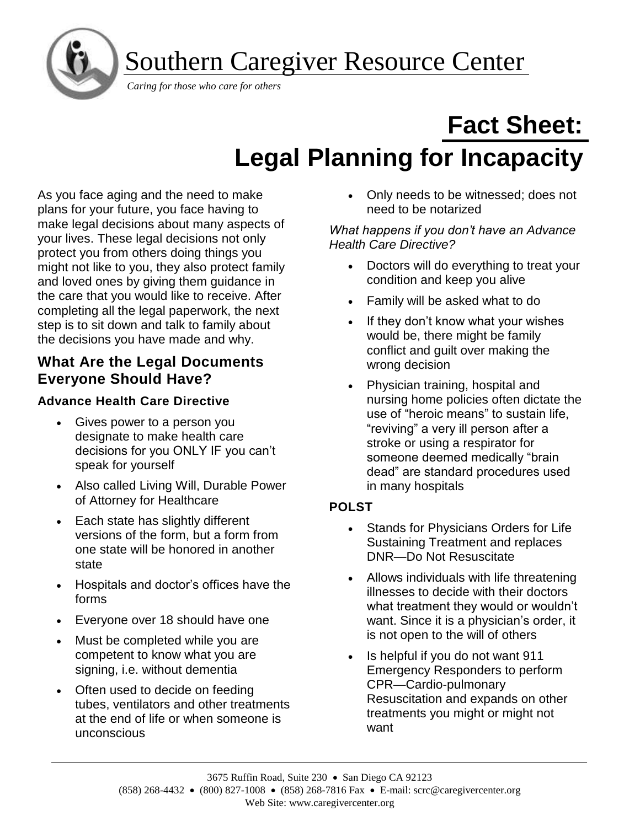Southern Caregiver Resource Center



I

# **Fact Sheet: Legal Planning for Incapacity**

As you face aging and the need to make plans for your future, you face having to make legal decisions about many aspects of your lives. These legal decisions not only protect you from others doing things you might not like to you, they also protect family and loved ones by giving them guidance in the care that you would like to receive. After completing all the legal paperwork, the next step is to sit down and talk to family about the decisions you have made and why.

## **What Are the Legal Documents Everyone Should Have?**

## **Advance Health Care Directive**

- Gives power to a person you designate to make health care decisions for you ONLY IF you can't speak for yourself
- Also called Living Will, Durable Power of Attorney for Healthcare
- Each state has slightly different versions of the form, but a form from one state will be honored in another state
- Hospitals and doctor's offices have the forms
- Everyone over 18 should have one
- Must be completed while you are competent to know what you are signing, i.e. without dementia
- Often used to decide on feeding tubes, ventilators and other treatments at the end of life or when someone is unconscious

• Only needs to be witnessed; does not need to be notarized

#### *What happens if you don't have an Advance Health Care Directive?*

- Doctors will do everything to treat your condition and keep you alive
- Family will be asked what to do
- If they don't know what your wishes would be, there might be family conflict and guilt over making the wrong decision
- Physician training, hospital and nursing home policies often dictate the use of "heroic means" to sustain life, "reviving" a very ill person after a stroke or using a respirator for someone deemed medically "brain dead" are standard procedures used in many hospitals

## **POLST**

- Stands for Physicians Orders for Life Sustaining Treatment and replaces DNR—Do Not Resuscitate
- Allows individuals with life threatening illnesses to decide with their doctors what treatment they would or wouldn't want. Since it is a physician's order, it is not open to the will of others
- Is helpful if you do not want 911 Emergency Responders to perform CPR—Cardio-pulmonary Resuscitation and expands on other treatments you might or might not want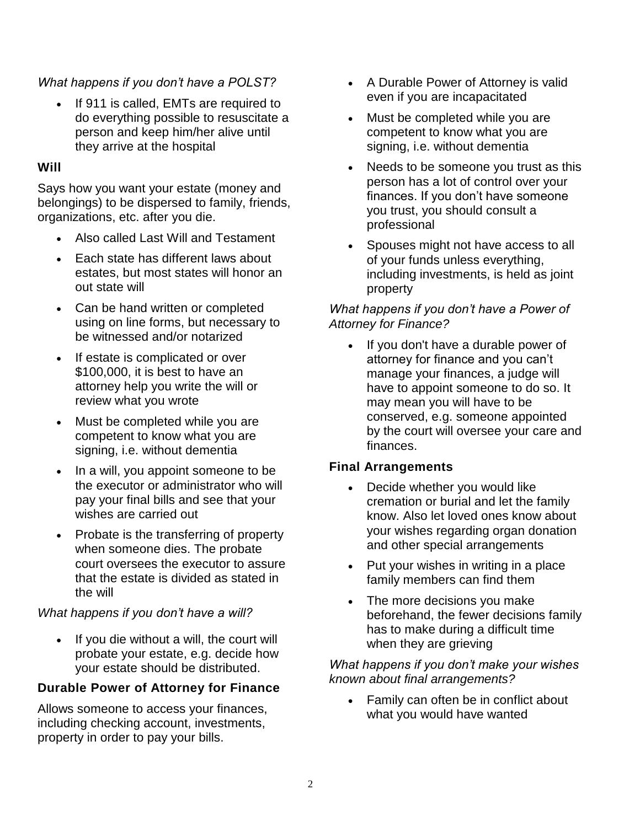#### *What happens if you don't have a POLST?*

If 911 is called, EMTs are required to do everything possible to resuscitate a person and keep him/her alive until they arrive at the hospital

#### **Will**

Says how you want your estate (money and belongings) to be dispersed to family, friends, organizations, etc. after you die.

- Also called Last Will and Testament
- Each state has different laws about estates, but most states will honor an out state will
- Can be hand written or completed using on line forms, but necessary to be witnessed and/or notarized
- If estate is complicated or over \$100,000, it is best to have an attorney help you write the will or review what you wrote
- Must be completed while you are competent to know what you are signing, i.e. without dementia
- In a will, you appoint someone to be the executor or administrator who will pay your final bills and see that your wishes are carried out
- Probate is the transferring of property when someone dies. The probate court oversees the executor to assure that the estate is divided as stated in the will

#### *What happens if you don't have a will?*

• If you die without a will, the court will probate your estate, e.g. decide how your estate should be distributed.

#### **Durable Power of Attorney for Finance**

Allows someone to access your finances, including checking account, investments, property in order to pay your bills.

- A Durable Power of Attorney is valid even if you are incapacitated
- Must be completed while you are competent to know what you are signing, i.e. without dementia
- Needs to be someone you trust as this person has a lot of control over your finances. If you don't have someone you trust, you should consult a professional
- Spouses might not have access to all of your funds unless everything, including investments, is held as joint property

#### *What happens if you don't have a Power of Attorney for Finance?*

If you don't have a durable power of attorney for finance and you can't manage your finances, a judge will have to appoint someone to do so. It may mean you will have to be conserved, e.g. someone appointed by the court will oversee your care and finances.

#### **Final Arrangements**

- Decide whether you would like cremation or burial and let the family know. Also let loved ones know about your wishes regarding organ donation and other special arrangements
- Put your wishes in writing in a place family members can find them
- The more decisions you make beforehand, the fewer decisions family has to make during a difficult time when they are grieving

*What happens if you don't make your wishes known about final arrangements?*

• Family can often be in conflict about what you would have wanted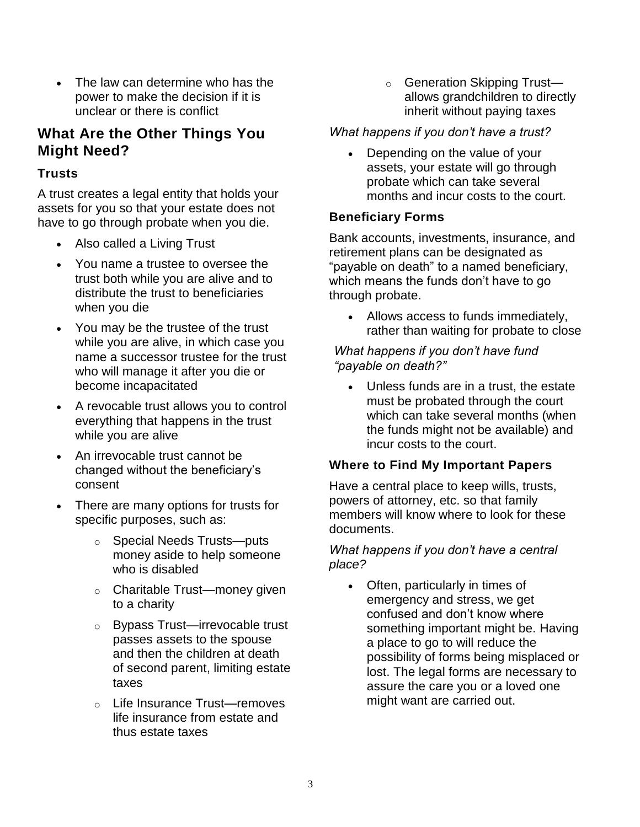The law can determine who has the power to make the decision if it is unclear or there is conflict

## **What Are the Other Things You Might Need?**

#### **Trusts**

A trust creates a legal entity that holds your assets for you so that your estate does not have to go through probate when you die.

- Also called a Living Trust
- You name a trustee to oversee the trust both while you are alive and to distribute the trust to beneficiaries when you die
- You may be the trustee of the trust while you are alive, in which case you name a successor trustee for the trust who will manage it after you die or become incapacitated
- A revocable trust allows you to control everything that happens in the trust while you are alive
- An irrevocable trust cannot be changed without the beneficiary's consent
- There are many options for trusts for specific purposes, such as:
	- o Special Needs Trusts—puts money aside to help someone who is disabled
	- o Charitable Trust—money given to a charity
	- o Bypass Trust—irrevocable trust passes assets to the spouse and then the children at death of second parent, limiting estate taxes
	- o Life Insurance Trust—removes life insurance from estate and thus estate taxes

o Generation Skipping Trust allows grandchildren to directly inherit without paying taxes

#### *What happens if you don't have a trust?*

• Depending on the value of your assets, your estate will go through probate which can take several months and incur costs to the court.

### **Beneficiary Forms**

Bank accounts, investments, insurance, and retirement plans can be designated as "payable on death" to a named beneficiary, which means the funds don't have to go through probate.

• Allows access to funds immediately, rather than waiting for probate to close

*What happens if you don't have fund "payable on death?"*

• Unless funds are in a trust, the estate must be probated through the court which can take several months (when the funds might not be available) and incur costs to the court.

#### **Where to Find My Important Papers**

Have a central place to keep wills, trusts, powers of attorney, etc. so that family members will know where to look for these documents.

#### *What happens if you don't have a central place?*

• Often, particularly in times of emergency and stress, we get confused and don't know where something important might be. Having a place to go to will reduce the possibility of forms being misplaced or lost. The legal forms are necessary to assure the care you or a loved one might want are carried out.